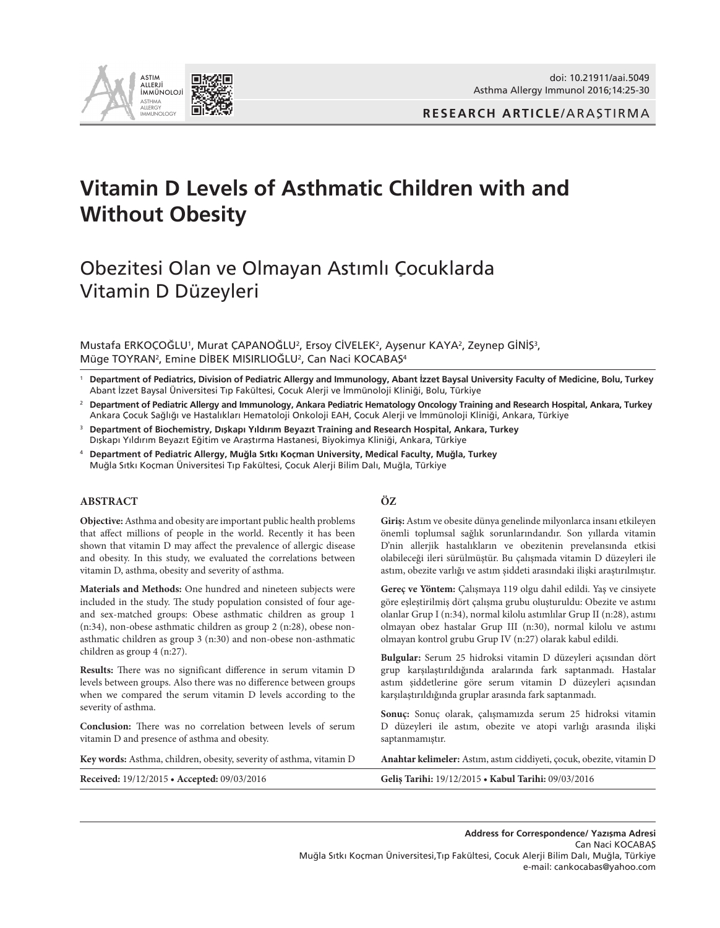

**RESEARCH ARTICLE**/ARAŞTIRMA

# **Vitamin D Levels of Asthmatic Children with and Without Obesity**

# Obezitesi Olan ve Olmayan Astımlı Çocuklarda Vitamin D Düzeyleri

Mustafa ERKOÇOGLU<sup>1</sup>, Murat ÇAPANOGLU<sup>2</sup>, Ersoy CIVELEK<sup>2</sup>, Ayşenur KAYA<sup>2</sup>, Zeynep GINIŞ<sup>3</sup>, Müge TOYRAN<sup>2</sup>, Emine DIBEK MISIRLIOGLU<sup>2</sup>, Can Naci KOCABAŞ<sup>4</sup>

<sup>1</sup> **Department of Pediatrics, Division of Pediatric Allergy and Immunology, Abant İzzet Baysal University Faculty of Medicine, Bolu, Turkey**  Abant İzzet Baysal Üniversitesi Tıp Fakültesi, Çocuk Alerji ve İmmünoloji Kliniği, Bolu, Türkiye

- <sup>2</sup> **Department of Pediatric Allergy and Immunology, Ankara Pediatric Hematology Oncology Training and Research Hospital, Ankara, Turkey** Ankara Çocuk Sağlığı ve Hastalıkları Hematoloji Onkoloji EAH, Çocuk Alerji ve İmmünoloji Kliniği, Ankara, Türkiye
- <sup>3</sup> **Department of Biochemistry, Dışkapı Yıldırım Beyazıt Training and Research Hospital, Ankara, Turkey**  Dışkapı Yıldırım Beyazıt Eğitim ve Araştırma Hastanesi, Biyokimya Kliniği, Ankara, Türkiye
- <sup>4</sup> **Department of Pediatric Allergy, Muğla Sıtkı Koçman University, Medical Faculty, Muğla, Turkey** Muğla Sıtkı Koçman Üniversitesi Tıp Fakültesi, Çocuk Alerji Bilim Dalı, Muğla, Türkiye

#### **ABSTRACT**

**Objective:** Asthma and obesity are important public health problems that affect millions of people in the world. Recently it has been shown that vitamin D may affect the prevalence of allergic disease and obesity. In this study, we evaluated the correlations between vitamin D, asthma, obesity and severity of asthma.

**Materials and Methods:** One hundred and nineteen subjects were included in the study. The study population consisted of four ageand sex-matched groups: Obese asthmatic children as group 1 (n:34), non-obese asthmatic children as group 2 (n:28), obese nonasthmatic children as group 3 (n:30) and non-obese non-asthmatic children as group 4 (n:27).

**Results:** There was no significant difference in serum vitamin D levels between groups. Also there was no difference between groups when we compared the serum vitamin D levels according to the severity of asthma.

**Conclusion:** There was no correlation between levels of serum vitamin D and presence of asthma and obesity.

#### **Key words:** Asthma, children, obesity, severity of asthma, vitamin D **Anahtar kelimeler:** Astım, astım ciddiyeti, çocuk, obezite, vitamin D

#### **Received:** 19/12/2015 **• Accepted:** 09/03/2016 **Geliş Tarihi:** 19/12/2015 **• Kabul Tarihi:** 09/03/2016

#### **ÖZ**

**Giriş:** Astım ve obesite dünya genelinde milyonlarca insanı etkileyen önemli toplumsal sağlık sorunlarındandır. Son yıllarda vitamin D'nin allerjik hastalıkların ve obezitenin prevelansında etkisi olabileceği ileri sürülmüştür. Bu çalışmada vitamin D düzeyleri ile astım, obezite varlığı ve astım şiddeti arasındaki ilişki araştırılmıştır.

**Gereç ve Yöntem:** Çalışmaya 119 olgu dahil edildi. Yaş ve cinsiyete göre eşleştirilmiş dört çalışma grubu oluşturuldu: Obezite ve astımı olanlar Grup I (n:34), normal kilolu astımlılar Grup II (n:28), astımı olmayan obez hastalar Grup III (n:30), normal kilolu ve astımı olmayan kontrol grubu Grup IV (n:27) olarak kabul edildi.

**Bulgular:** Serum 25 hidroksi vitamin D düzeyleri açısından dört grup karşılaştırıldığında aralarında fark saptanmadı. Hastalar astım şiddetlerine göre serum vitamin D düzeyleri açısından karşılaştırıldığında gruplar arasında fark saptanmadı.

**Sonuç:** Sonuç olarak, çalışmamızda serum 25 hidroksi vitamin D düzeyleri ile astım, obezite ve atopi varlığı arasında ilişki saptanmamıştır.

**Address for Correspondence/ Yazışma Adresi** Can Naci KOCABAŞ Muğla Sıtkı Koçman Üniversitesi,Tıp Fakültesi, Çocuk Alerji Bilim Dalı, Muğla, Türkiye e-mail: cankocabas@yahoo.com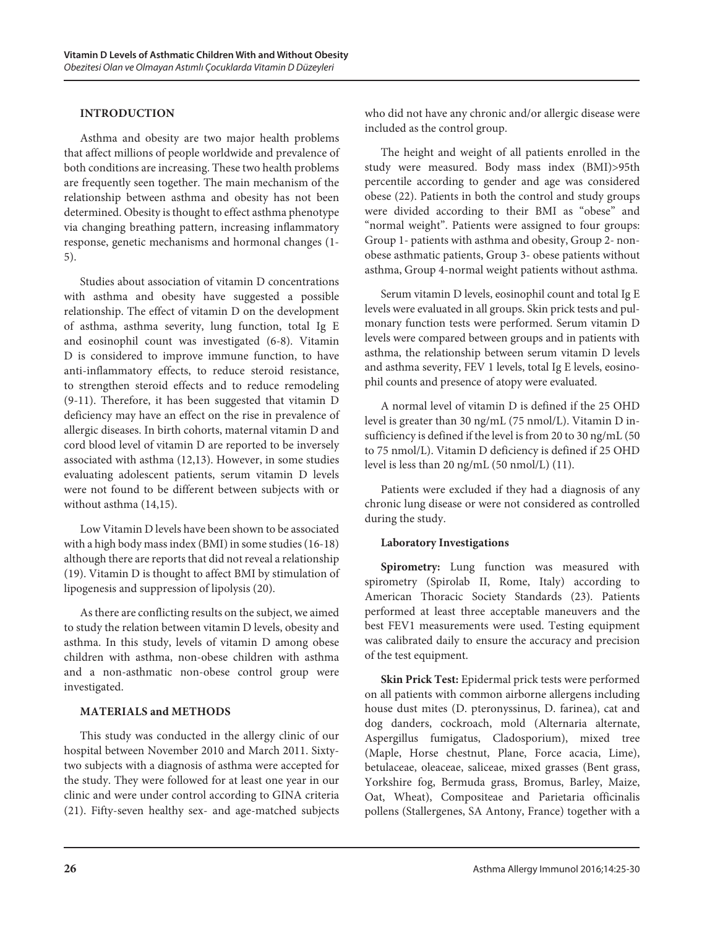### **Introduction**

Asthma and obesity are two major health problems that affect millions of people worldwide and prevalence of both conditions are increasing. These two health problems are frequently seen together. The main mechanism of the relationship between asthma and obesity has not been determined. Obesity is thought to effect asthma phenotype via changing breathing pattern, increasing inflammatory response, genetic mechanisms and hormonal changes (1- 5).

Studies about association of vitamin D concentrations with asthma and obesity have suggested a possible relationship. The effect of vitamin D on the development of asthma, asthma severity, lung function, total Ig E and eosinophil count was investigated (6-8). Vitamin D is considered to improve immune function, to have anti-inflammatory effects, to reduce steroid resistance, to strengthen steroid effects and to reduce remodeling (9-11). Therefore, it has been suggested that vitamin D deficiency may have an effect on the rise in prevalence of allergic diseases. In birth cohorts, maternal vitamin D and cord blood level of vitamin D are reported to be inversely associated with asthma (12,13). However, in some studies evaluating adolescent patients, serum vitamin D levels were not found to be different between subjects with or without asthma (14,15).

Low Vitamin D levels have been shown to be associated with a high body mass index (BMI) in some studies (16-18) although there are reports that did not reveal a relationship (19). Vitamin D is thought to affect BMI by stimulation of lipogenesis and suppression of lipolysis (20).

As there are conflicting results on the subject, we aimed to study the relation between vitamin D levels, obesity and asthma. In this study, levels of vitamin D among obese children with asthma, non-obese children with asthma and a non-asthmatic non-obese control group were investigated.

#### **Materials and methods**

This study was conducted in the allergy clinic of our hospital between November 2010 and March 2011. Sixtytwo subjects with a diagnosis of asthma were accepted for the study. They were followed for at least one year in our clinic and were under control according to GINA criteria (21). Fifty-seven healthy sex- and age-matched subjects who did not have any chronic and/or allergic disease were included as the control group.

The height and weight of all patients enrolled in the study were measured. Body mass index (BMI)>95th percentile according to gender and age was considered obese (22). Patients in both the control and study groups were divided according to their BMI as "obese" and "normal weight". Patients were assigned to four groups: Group 1- patients with asthma and obesity, Group 2- nonobese asthmatic patients, Group 3- obese patients without asthma, Group 4-normal weight patients without asthma.

Serum vitamin D levels, eosinophil count and total Ig E levels were evaluated in all groups. Skin prick tests and pulmonary function tests were performed. Serum vitamin D levels were compared between groups and in patients with asthma, the relationship between serum vitamin D levels and asthma severity, FEV 1 levels, total Ig E levels, eosinophil counts and presence of atopy were evaluated.

A normal level of vitamin D is defined if the 25 OHD level is greater than 30 ng/mL (75 nmol/L). Vitamin D insufficiency is defined if the level is from 20 to 30 ng/mL (50 to 75 nmol/L). Vitamin D deficiency is defined if 25 OHD level is less than 20 ng/mL (50 nmol/L) (11).

Patients were excluded if they had a diagnosis of any chronic lung disease or were not considered as controlled during the study.

# **Laboratory Investigations**

**Spirometry:** Lung function was measured with spirometry (Spirolab II, Rome, Italy) according to American Thoracic Society Standards (23). Patients performed at least three acceptable maneuvers and the best FEV1 measurements were used. Testing equipment was calibrated daily to ensure the accuracy and precision of the test equipment.

**Skin Prick Test:** Epidermal prick tests were performed on all patients with common airborne allergens including house dust mites (D. pteronyssinus, D. farinea), cat and dog danders, cockroach, mold (Alternaria alternate, Aspergillus fumigatus, Cladosporium), mixed tree (Maple, Horse chestnut, Plane, Force acacia, Lime), betulaceae, oleaceae, saliceae, mixed grasses (Bent grass, Yorkshire fog, Bermuda grass, Bromus, Barley, Maize, Oat, Wheat), Compositeae and Parietaria officinalis pollens (Stallergenes, SA Antony, France) together with a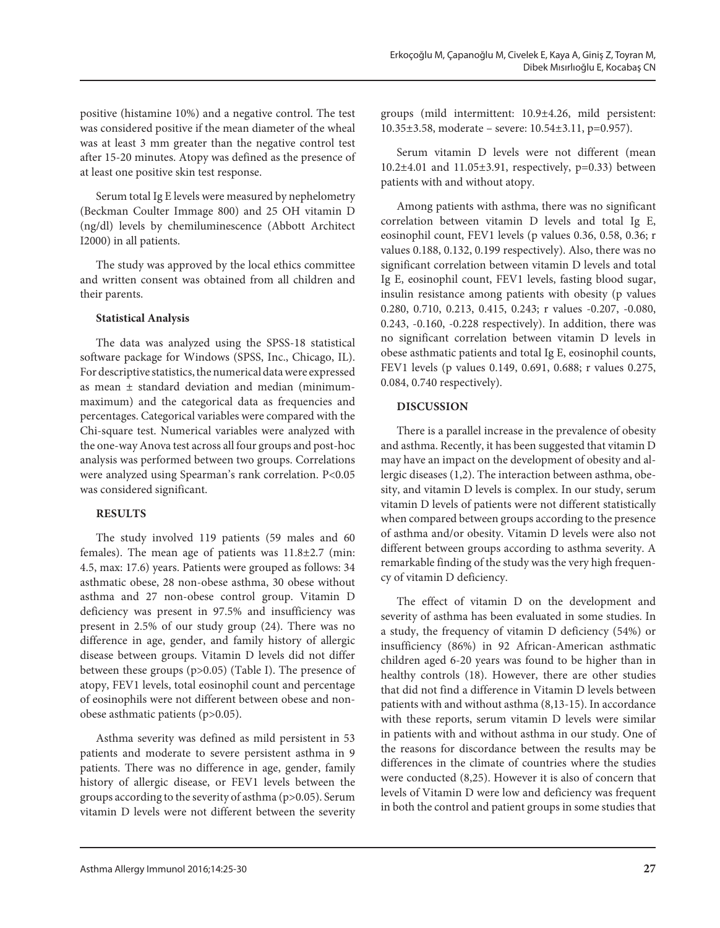positive (histamine 10%) and a negative control. The test was considered positive if the mean diameter of the wheal was at least 3 mm greater than the negative control test after 15-20 minutes. Atopy was defined as the presence of at least one positive skin test response.

Serum total Ig E levels were measured by nephelometry (Beckman Coulter Immage 800) and 25 OH vitamin D (ng/dl) levels by chemiluminescence (Abbott Architect I2000) in all patients.

The study was approved by the local ethics committee and written consent was obtained from all children and their parents.

#### **Statistical Analysis**

The data was analyzed using the SPSS-18 statistical software package for Windows (SPSS, Inc., Chicago, IL). For descriptive statistics, the numerical data were expressed as mean ± standard deviation and median (minimummaximum) and the categorical data as frequencies and percentages. Categorical variables were compared with the Chi-square test. Numerical variables were analyzed with the one-way Anova test across all four groups and post-hoc analysis was performed between two groups. Correlations were analyzed using Spearman's rank correlation. P<0.05 was considered significant.

# **Results**

The study involved 119 patients (59 males and 60 females). The mean age of patients was 11.8±2.7 (min: 4.5, max: 17.6) years. Patients were grouped as follows: 34 asthmatic obese, 28 non-obese asthma, 30 obese without asthma and 27 non-obese control group. Vitamin D deficiency was present in 97.5% and insufficiency was present in 2.5% of our study group (24). There was no difference in age, gender, and family history of allergic disease between groups. Vitamin D levels did not differ between these groups (p>0.05) (Table I). The presence of atopy, FEV1 levels, total eosinophil count and percentage of eosinophils were not different between obese and nonobese asthmatic patients (p>0.05).

Asthma severity was defined as mild persistent in 53 patients and moderate to severe persistent asthma in 9 patients. There was no difference in age, gender, family history of allergic disease, or FEV1 levels between the groups according to the severity of asthma (p>0.05). Serum vitamin D levels were not different between the severity groups (mild intermittent: 10.9±4.26, mild persistent: 10.35±3.58, moderate – severe: 10.54±3.11, p=0.957).

Serum vitamin D levels were not different (mean 10.2±4.01 and 11.05±3.91, respectively, p=0.33) between patients with and without atopy.

Among patients with asthma, there was no significant correlation between vitamin D levels and total Ig E, eosinophil count, FEV1 levels (p values 0.36, 0.58, 0.36; r values 0.188, 0.132, 0.199 respectively). Also, there was no significant correlation between vitamin D levels and total Ig E, eosinophil count, FEV1 levels, fasting blood sugar, insulin resistance among patients with obesity (p values 0.280, 0.710, 0.213, 0.415, 0.243; r values -0.207, -0.080, 0.243, -0.160, -0.228 respectively). In addition, there was no significant correlation between vitamin D levels in obese asthmatic patients and total Ig E, eosinophil counts, FEV1 levels (p values 0.149, 0.691, 0.688; r values 0.275, 0.084, 0.740 respectively).

# **Discussion**

There is a parallel increase in the prevalence of obesity and asthma. Recently, it has been suggested that vitamin D may have an impact on the development of obesity and allergic diseases (1,2). The interaction between asthma, obesity, and vitamin D levels is complex. In our study, serum vitamin D levels of patients were not different statistically when compared between groups according to the presence of asthma and/or obesity. Vitamin D levels were also not different between groups according to asthma severity. A remarkable finding of the study was the very high frequency of vitamin D deficiency.

The effect of vitamin D on the development and severity of asthma has been evaluated in some studies. In a study, the frequency of vitamin D deficiency (54%) or insufficiency (86%) in 92 African-American asthmatic children aged 6-20 years was found to be higher than in healthy controls (18). However, there are other studies that did not find a difference in Vitamin D levels between patients with and without asthma (8,13-15). In accordance with these reports, serum vitamin D levels were similar in patients with and without asthma in our study. One of the reasons for discordance between the results may be differences in the climate of countries where the studies were conducted (8,25). However it is also of concern that levels of Vitamin D were low and deficiency was frequent in both the control and patient groups in some studies that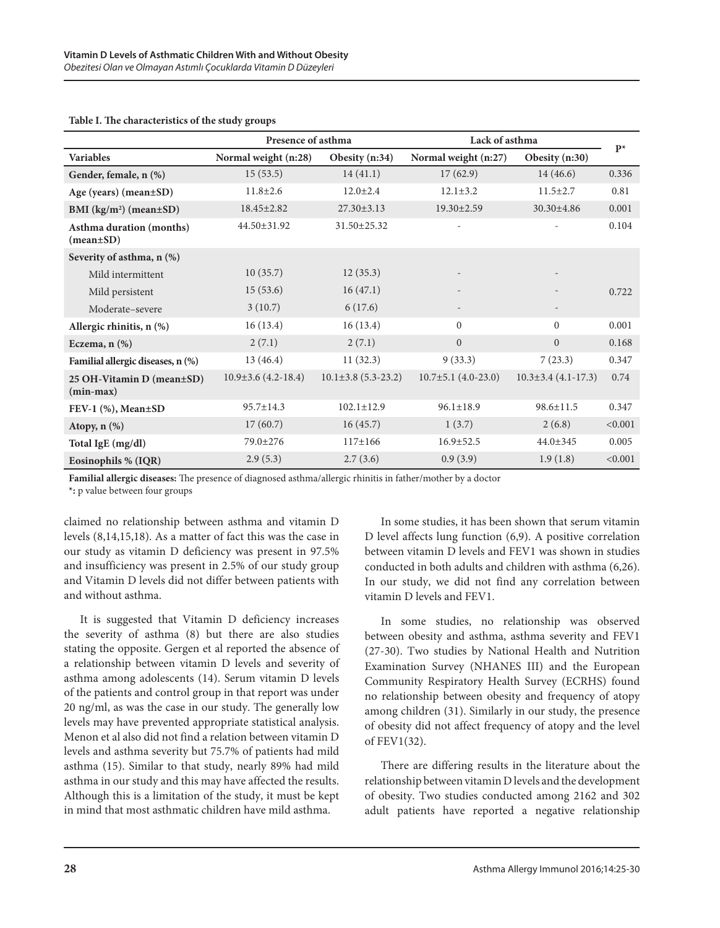|                                                          | Presence of asthma      |                         | Lack of asthma            |                           | $\mathbf{P}^{\star}$ |
|----------------------------------------------------------|-------------------------|-------------------------|---------------------------|---------------------------|----------------------|
| <b>Variables</b>                                         | Normal weight (n:28)    | Obesity (n:34)          | Normal weight (n:27)      | Obesity (n:30)            |                      |
| Gender, female, n (%)                                    | 15(53.5)                | 14(41.1)                | 17(62.9)                  | 14(46.6)                  | 0.336                |
| Age (years) (mean±SD)                                    | $11.8 \pm 2.6$          | $12.0 \pm 2.4$          | $12.1 \pm 3.2$            | $11.5 \pm 2.7$            | 0.81                 |
| BMI $(kg/m^2)$ (mean $\pm$ SD)                           | $18.45 \pm 2.82$        | $27.30 \pm 3.13$        | $19.30 \pm 2.59$          | $30.30 \pm 4.86$          | 0.001                |
| Asthma duration (months)<br>$(\text{mean}\pm S\text{D})$ | 44.50±31.92             | 31.50±25.32             | $\overline{a}$            |                           | 0.104                |
| Severity of asthma, n (%)                                |                         |                         |                           |                           |                      |
| Mild intermittent                                        | 10(35.7)                | 12(35.3)                |                           |                           |                      |
| Mild persistent                                          | 15(53.6)                | 16(47.1)                |                           |                           | 0.722                |
| Moderate-severe                                          | 3(10.7)                 | 6(17.6)                 | $\overline{\phantom{a}}$  | $\overline{\phantom{a}}$  |                      |
| Allergic rhinitis, n (%)                                 | 16(13.4)                | 16(13.4)                | $\Omega$                  | $\Omega$                  | 0.001                |
| Eczema, $n$ $(\%)$                                       | 2(7.1)                  | 2(7.1)                  | $\overline{0}$            | $\overline{0}$            | 0.168                |
| Familial allergic diseases, n (%)                        | 13(46.4)                | 11(32.3)                | 9(33.3)                   | 7(23.3)                   | 0.347                |
| 25 OH-Vitamin D (mean±SD)<br>$(min-max)$                 | $10.9\pm3.6$ (4.2-18.4) | $10.1\pm3.8$ (5.3-23.2) | $10.7 \pm 5.1$ (4.0-23.0) | $10.3 \pm 3.4$ (4.1-17.3) | 0.74                 |
| FEV-1 (%), Mean±SD                                       | $95.7 \pm 14.3$         | $102.1 \pm 12.9$        | $96.1 \pm 18.9$           | $98.6 \pm 11.5$           | 0.347                |
| Atopy, $n$ $(\%)$                                        | 17(60.7)                | 16(45.7)                | 1(3.7)                    | 2(6.8)                    | < 0.001              |
| Total IgE (mg/dl)                                        | 79.0±276                | $117 \pm 166$           | $16.9 \pm 52.5$           | $44.0 \pm 345$            | 0.005                |
| Eosinophils % (IQR)                                      | 2.9(5.3)                | 2.7(3.6)                | 0.9(3.9)                  | 1.9(1.8)                  | < 0.001              |

#### **Table I. The characteristics of the study groups**

**Familial allergic diseases:** The presence of diagnosed asthma/allergic rhinitis in father/mother by a doctor

**\*:** p value between four groups

claimed no relationship between asthma and vitamin D levels (8,14,15,18). As a matter of fact this was the case in our study as vitamin D deficiency was present in 97.5% and insufficiency was present in 2.5% of our study group and Vitamin D levels did not differ between patients with and without asthma.

It is suggested that Vitamin D deficiency increases the severity of asthma (8) but there are also studies stating the opposite. Gergen et al reported the absence of a relationship between vitamin D levels and severity of asthma among adolescents (14). Serum vitamin D levels of the patients and control group in that report was under 20 ng/ml, as was the case in our study. The generally low levels may have prevented appropriate statistical analysis. Menon et al also did not find a relation between vitamin D levels and asthma severity but 75.7% of patients had mild asthma (15). Similar to that study, nearly 89% had mild asthma in our study and this may have affected the results. Although this is a limitation of the study, it must be kept in mind that most asthmatic children have mild asthma.

In some studies, it has been shown that serum vitamin D level affects lung function (6,9). A positive correlation between vitamin D levels and FEV1 was shown in studies conducted in both adults and children with asthma (6,26). In our study, we did not find any correlation between vitamin D levels and FEV1.

In some studies, no relationship was observed between obesity and asthma, asthma severity and FEV1 (27-30). Two studies by National Health and Nutrition Examination Survey (NHANES III) and the European Community Respiratory Health Survey (ECRHS) found no relationship between obesity and frequency of atopy among children (31). Similarly in our study, the presence of obesity did not affect frequency of atopy and the level of FEV1(32).

There are differing results in the literature about the relationship between vitamin D levels and the development of obesity. Two studies conducted among 2162 and 302 adult patients have reported a negative relationship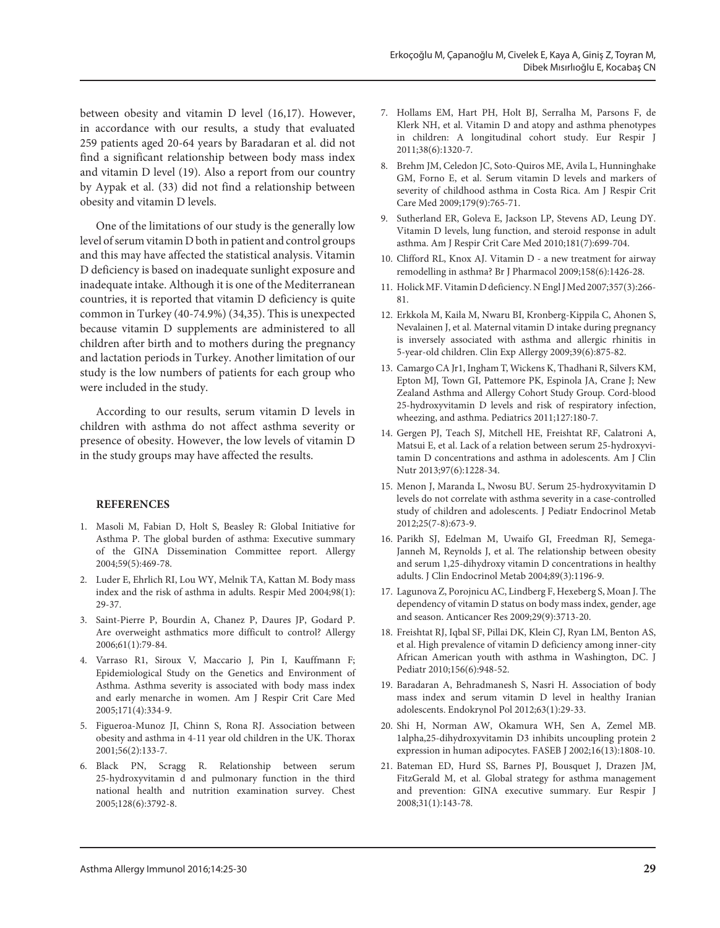between obesity and vitamin D level (16,17). However, in accordance with our results, a study that evaluated 259 patients aged 20-64 years by Baradaran et al. did not find a significant relationship between body mass index and vitamin D level (19). Also a report from our country by Aypak et al. (33) did not find a relationship between obesity and vitamin D levels.

One of the limitations of our study is the generally low level of serum vitamin D both in patient and control groups and this may have affected the statistical analysis. Vitamin D deficiency is based on inadequate sunlight exposure and inadequate intake. Although it is one of the Mediterranean countries, it is reported that vitamin D deficiency is quite common in Turkey (40-74.9%) (34,35). This is unexpected because vitamin D supplements are administered to all children after birth and to mothers during the pregnancy and lactation periods in Turkey. Another limitation of our study is the low numbers of patients for each group who were included in the study.

According to our results, serum vitamin D levels in children with asthma do not affect asthma severity or presence of obesity. However, the low levels of vitamin D in the study groups may have affected the results.

#### **References**

- 1. Masoli M, Fabian D, Holt S, Beasley R: Global Initiative for Asthma P. The global burden of asthma: Executive summary of the GINA Dissemination Committee report. Allergy 2004;59(5):469-78.
- 2. Luder E, Ehrlich RI, Lou WY, Melnik TA, Kattan M. Body mass index and the risk of asthma in adults. Respir Med 2004;98(1): 29-37.
- 3. Saint-Pierre P, Bourdin A, Chanez P, Daures JP, Godard P. Are overweight asthmatics more difficult to control? Allergy 2006;61(1):79-84.
- 4. Varraso R1, Siroux V, Maccario J, Pin I, Kauffmann F; Epidemiological Study on the Genetics and Environment of Asthma. Asthma severity is associated with body mass index and early menarche in women. Am J Respir Crit Care Med 2005;171(4):334-9.
- 5. Figueroa-Munoz JI, Chinn S, Rona RJ. Association between obesity and asthma in 4-11 year old children in the UK. Thorax 2001;56(2):133-7.
- 6. Black PN, Scragg R. Relationship between serum 25-hydroxyvitamin d and pulmonary function in the third national health and nutrition examination survey. Chest 2005;128(6):3792-8.
- 7. Hollams EM, Hart PH, Holt BJ, Serralha M, Parsons F, de Klerk NH, et al. Vitamin D and atopy and asthma phenotypes in children: A longitudinal cohort study. Eur Respir J 2011;38(6):1320-7.
- 8. Brehm JM, Celedon JC, Soto-Quiros ME, Avila L, Hunninghake GM, Forno E, et al. Serum vitamin D levels and markers of severity of childhood asthma in Costa Rica. Am J Respir Crit Care Med 2009;179(9):765-71.
- 9. Sutherland ER, Goleva E, Jackson LP, Stevens AD, Leung DY. Vitamin D levels, lung function, and steroid response in adult asthma. Am J Respir Crit Care Med 2010;181(7):699-704.
- 10. Clifford RL, Knox AJ. Vitamin D a new treatment for airway remodelling in asthma? Br J Pharmacol 2009;158(6):1426-28.
- 11. Holick MF. Vitamin D deficiency. N Engl J Med 2007;357(3):266- 81.
- 12. Erkkola M, Kaila M, Nwaru BI, Kronberg-Kippila C, Ahonen S, Nevalainen J, et al. Maternal vitamin D intake during pregnancy is inversely associated with asthma and allergic rhinitis in 5-year-old children. Clin Exp Allergy 2009;39(6):875-82.
- 13. Camargo CA Jr1, Ingham T, Wickens K, Thadhani R, Silvers KM, Epton MJ, Town GI, Pattemore PK, Espinola JA, Crane J; New Zealand Asthma and Allergy Cohort Study Group. Cord-blood 25-hydroxyvitamin D levels and risk of respiratory infection, wheezing, and asthma. Pediatrics 2011;127:180-7.
- 14. Gergen PJ, Teach SJ, Mitchell HE, Freishtat RF, Calatroni A, Matsui E, et al. Lack of a relation between serum 25-hydroxyvitamin D concentrations and asthma in adolescents. Am J Clin Nutr 2013;97(6):1228-34.
- 15. Menon J, Maranda L, Nwosu BU. Serum 25-hydroxyvitamin D levels do not correlate with asthma severity in a case-controlled study of children and adolescents. J Pediatr Endocrinol Metab 2012;25(7-8):673-9.
- 16. Parikh SJ, Edelman M, Uwaifo GI, Freedman RJ, Semega-Janneh M, Reynolds J, et al. The relationship between obesity and serum 1,25-dihydroxy vitamin D concentrations in healthy adults. J Clin Endocrinol Metab 2004;89(3):1196-9.
- 17. Lagunova Z, Porojnicu AC, Lindberg F, Hexeberg S, Moan J. The dependency of vitamin D status on body mass index, gender, age and season. Anticancer Res 2009;29(9):3713-20.
- 18. Freishtat RJ, Iqbal SF, Pillai DK, Klein CJ, Ryan LM, Benton AS, et al. High prevalence of vitamin D deficiency among inner-city African American youth with asthma in Washington, DC. J Pediatr 2010;156(6):948-52.
- 19. Baradaran A, Behradmanesh S, Nasri H. Association of body mass index and serum vitamin D level in healthy Iranian adolescents. Endokrynol Pol 2012;63(1):29-33.
- 20. Shi H, Norman AW, Okamura WH, Sen A, Zemel MB. 1alpha,25-dihydroxyvitamin D3 inhibits uncoupling protein 2 expression in human adipocytes. FASEB J 2002;16(13):1808-10.
- 21. Bateman ED, Hurd SS, Barnes PJ, Bousquet J, Drazen JM, FitzGerald M, et al. Global strategy for asthma management and prevention: GINA executive summary. Eur Respir J 2008;31(1):143-78.